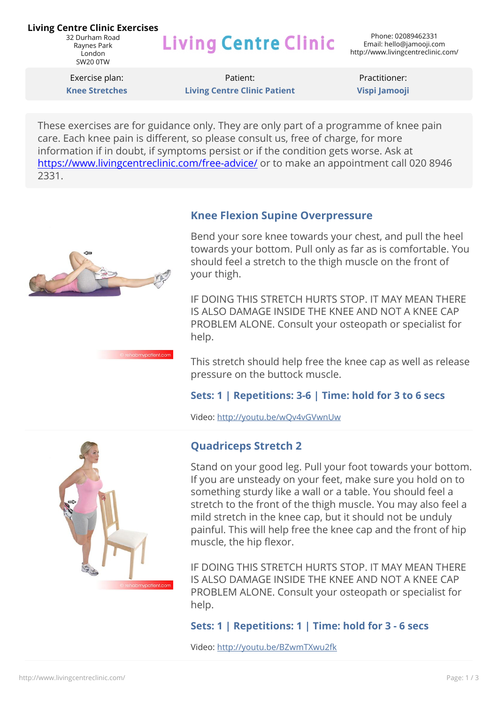#### **Living Centre Clinic Exercises**

32 Durham Road Raynes Park London SW20 0TW

# **Living Centre Clinic**

Exercise plan: **Knee Stretches**

Patient: **Living Centre Clinic Patient**

Practitioner: **Vispi Jamooji**

These exercises are for guidance only. They are only part of a programme of knee pain care. Each knee pain is different, so please consult us, free of charge, for more information if in doubt, if symptoms persist or if the condition gets worse. Ask at <https://www.livingcentreclinic.com/free-advice/>or to make an appointment call 020 8946 2331.



bmvpatient.com

#### **Knee Flexion Supine Overpressure**

Bend your sore knee towards your chest, and pull the heel towards your bottom. Pull only as far as is comfortable. You should feel a stretch to the thigh muscle on the front of your thigh.

IF DOING THIS STRETCH HURTS STOP. IT MAY MEAN THERE IS ALSO DAMAGE INSIDE THE KNEE AND NOT A KNEE CAP PROBLEM ALONE. Consult your osteopath or specialist for help.

This stretch should help free the knee cap as well as release pressure on the buttock muscle.

#### **Sets: 1 | Repetitions: 3-6 | Time: hold for 3 to 6 secs**

Video: <http://youtu.be/wQv4vGVwnUw>



### **Quadriceps Stretch 2**

Stand on your good leg. Pull your foot towards your bottom. If you are unsteady on your feet, make sure you hold on to something sturdy like a wall or a table. You should feel a stretch to the front of the thigh muscle. You may also feel a mild stretch in the knee cap, but it should not be unduly painful. This will help free the knee cap and the front of hip muscle, the hip flexor.

IF DOING THIS STRETCH HURTS STOP. IT MAY MEAN THERE IS ALSO DAMAGE INSIDE THE KNEE AND NOT A KNEE CAP PROBLEM ALONE. Consult your osteopath or specialist for help.

#### **Sets: 1 | Repetitions: 1 | Time: hold for 3 - 6 secs**

Video: <http://youtu.be/BZwmTXwu2fk>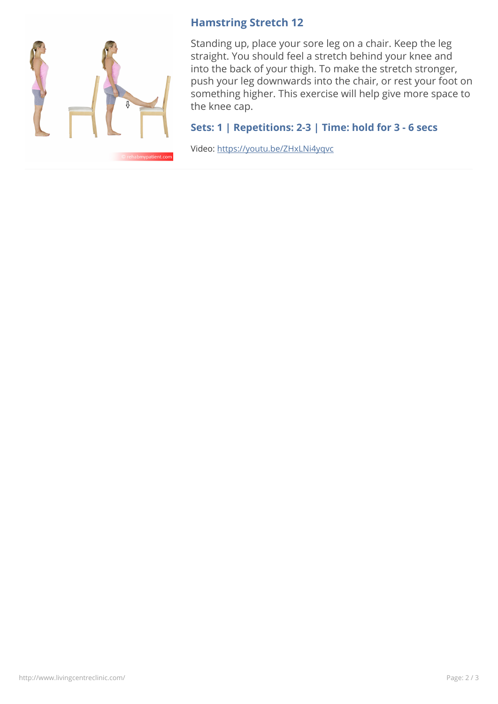

#### **Hamstring Stretch 12**

Standing up, place your sore leg on a chair. Keep the leg straight. You should feel a stretch behind your knee and into the back of your thigh. To make the stretch stronger, push your leg downwards into the chair, or rest your foot on something higher. This exercise will help give more space to the knee cap.

#### **Sets: 1 | Repetitions: 2-3 | Time: hold for 3 - 6 secs**

Video: <https://youtu.be/ZHxLNi4yqvc>